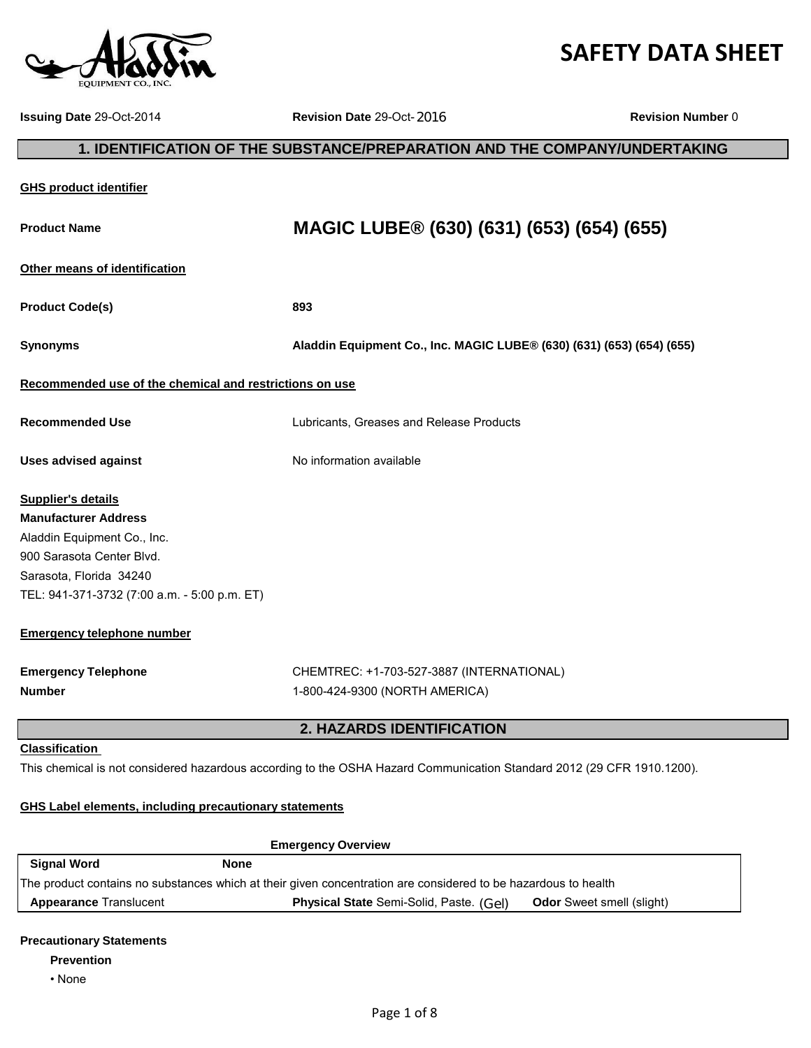# **SAFETY DATA SHEET**

**Issuing Date** 29-Oct-2014 **Revision Date** 29-Oct- **Revision Number** 0

# **GHS product identifier Product Name MAGIC LUBE® (630) (631) (653) (654) (655) Other means of identification Product Code(s) 893 Synonyms Aladdin Equipment Co., Inc. MAGIC LUBE® (630) (631) (653) (654) (655) Recommended use of the chemical and restrictions on use Recommended Use** Lubricants, Greases and Release Products Uses advised against **No information available Supplier's details Manufacturer Address** Aladdin Equipment Co., Inc. 900 Sarasota Center Blvd. Sarasota, Florida 34240 TEL: 941-371-3732 (7:00 a.m. - 5:00 p.m. ET) **Emergency telephone number Emergency Telephone** CHEMTREC: +1-703-527-3887 (INTERNATIONAL) **Number** 1-800-424-9300 (NORTH AMERICA) **Classification**  This chemical is not considered hazardous according to the OSHA Hazard Communication Standard 2012 (29 CFR 1910.1200). **GHS Label elements, including precautionary statements Emergency Overview 2. HAZARDS IDENTIFICATION 1. IDENTIFICATION OF THE SUBSTANCE/PREPARATION AND THE COMPANY/UNDERTAKING** 2016<br> **RATION AND<br>
3 (630) (63**<br> **27.3887 (INTERN**<br>
d Release Produce<br>
P<br>
Communication S<br>
Considered to be<br>
considered to be<br>
olid, Paste. (Gel)

| Signal Word                                                                                                    | None                                           |                                  |
|----------------------------------------------------------------------------------------------------------------|------------------------------------------------|----------------------------------|
| The product contains no substances which at their given concentration are considered to be hazardous to health |                                                |                                  |
| <b>Appearance Translucent</b>                                                                                  | <b>Physical State</b> Semi-Solid, Paste. (Gel) | <b>Odor</b> Sweet smell (slight) |

# **Precautionary Statements**

#### **Prevention**

• None

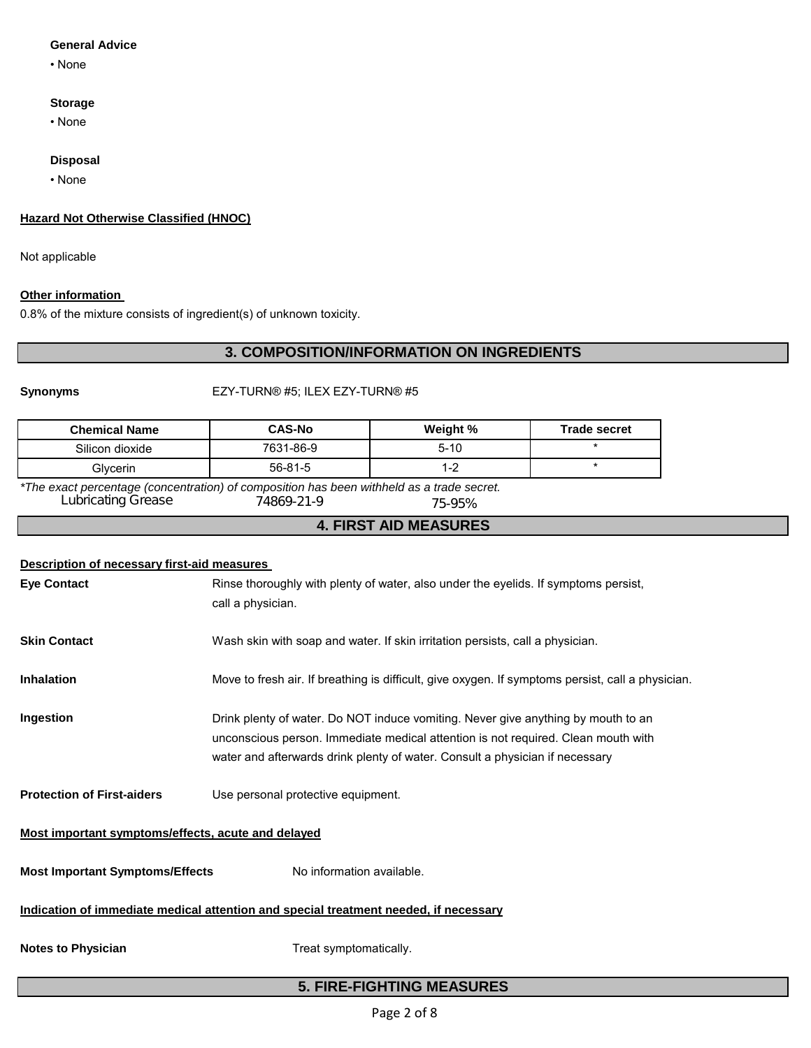# **General Advice**

• None

# **Storage**

• None

#### **Disposal**

• None

# **Hazard Not Otherwise Classified (HNOC)**

Not applicable

### **Other information**

0.8% of the mixture consists of ingredient(s) of unknown toxicity.

# **3. COMPOSITION/INFORMATION ON INGREDIENTS**

### **Synonyms** EZY-TURN® #5; ILEX EZY-TURN® #5

| <b>Chemical Name</b> | <b>CAS-No</b> | Weight % | <b>Trade secret</b> |
|----------------------|---------------|----------|---------------------|
| Silicon dioxide      | 7631-86-9     | $5 - 10$ |                     |
| Glvcerin             | $56 - 81 - 5$ | 1-2      |                     |

*\*The exact percentage (concentration) of composition has been withheld as a trade secret.* Lubricating Grease 74869-21-9 75-95%

# **4. FIRST AID MEASURES**

| <b>Description of necessary first-aid measures</b>                                   |                                                                                                                                                                                                                                                        |  |
|--------------------------------------------------------------------------------------|--------------------------------------------------------------------------------------------------------------------------------------------------------------------------------------------------------------------------------------------------------|--|
| <b>Eye Contact</b>                                                                   | Rinse thoroughly with plenty of water, also under the eyelids. If symptoms persist,                                                                                                                                                                    |  |
|                                                                                      | call a physician.                                                                                                                                                                                                                                      |  |
| <b>Skin Contact</b>                                                                  | Wash skin with soap and water. If skin irritation persists, call a physician.                                                                                                                                                                          |  |
| <b>Inhalation</b>                                                                    | Move to fresh air. If breathing is difficult, give oxygen. If symptoms persist, call a physician.                                                                                                                                                      |  |
| Ingestion                                                                            | Drink plenty of water. Do NOT induce vomiting. Never give anything by mouth to an<br>unconscious person. Immediate medical attention is not required. Clean mouth with<br>water and afterwards drink plenty of water. Consult a physician if necessary |  |
| <b>Protection of First-aiders</b>                                                    | Use personal protective equipment.                                                                                                                                                                                                                     |  |
| Most important symptoms/effects, acute and delayed                                   |                                                                                                                                                                                                                                                        |  |
| <b>Most Important Symptoms/Effects</b>                                               | No information available.                                                                                                                                                                                                                              |  |
| Indication of immediate medical attention and special treatment needed, if necessary |                                                                                                                                                                                                                                                        |  |
| <b>Notes to Physician</b>                                                            | Treat symptomatically.                                                                                                                                                                                                                                 |  |
| <b>5. FIRE-FIGHTING MEASURES</b>                                                     |                                                                                                                                                                                                                                                        |  |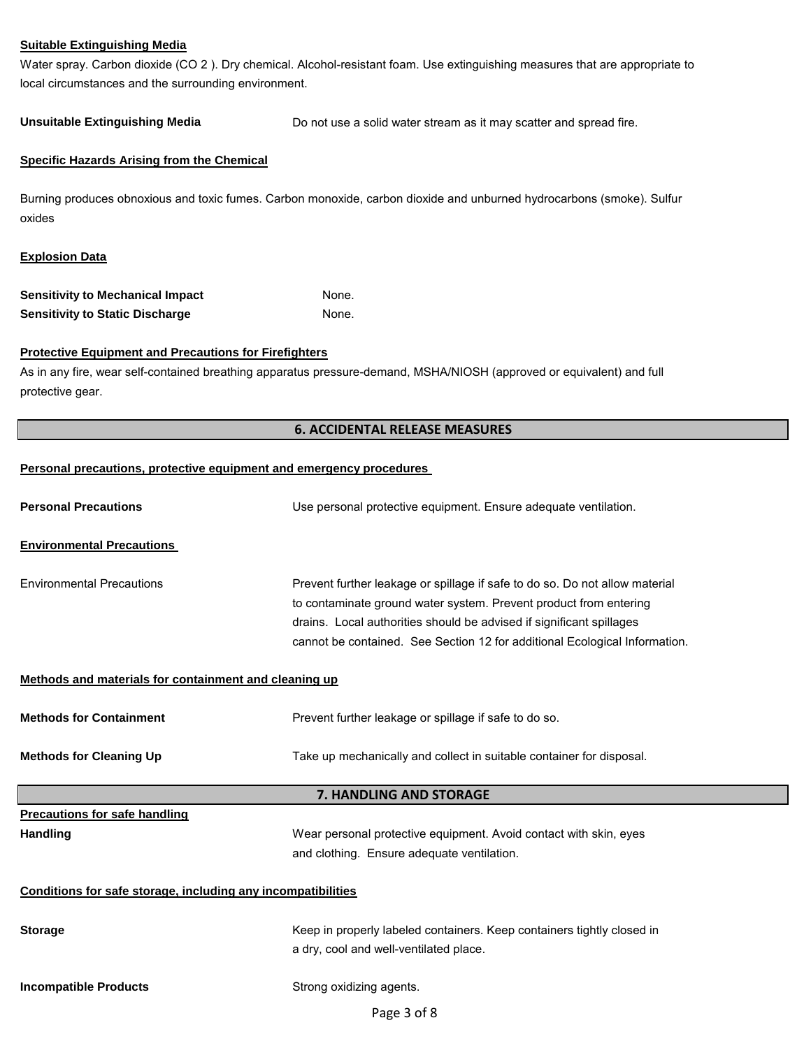#### **Suitable Extinguishing Media**

Water spray. Carbon dioxide (CO 2 ). Dry chemical. Alcohol-resistant foam. Use extinguishing measures that are appropriate to local circumstances and the surrounding environment.

Unsuitable Extinguishing Media **Do not use a solid water stream as it may scatter and spread fire.** 

#### **Specific Hazards Arising from the Chemical**

Burning produces obnoxious and toxic fumes. Carbon monoxide, carbon dioxide and unburned hydrocarbons (smoke). Sulfur oxides

#### **Explosion Data**

| Sensitivity to Mechanical Impact | None. |
|----------------------------------|-------|
| Sensitivity to Static Discharge  | None. |

#### **Protective Equipment and Precautions for Firefighters**

As in any fire, wear self-contained breathing apparatus pressure-demand, MSHA/NIOSH (approved or equivalent) and full protective gear.

#### **6. ACCIDENTAL RELEASE MEASURES**

#### **Personal precautions, protective equipment and emergency procedures**

| <b>Personal Precautions</b>                                  | Use personal protective equipment. Ensure adequate ventilation.                                                                                                                                                                                                                                        |
|--------------------------------------------------------------|--------------------------------------------------------------------------------------------------------------------------------------------------------------------------------------------------------------------------------------------------------------------------------------------------------|
| <b>Environmental Precautions</b>                             |                                                                                                                                                                                                                                                                                                        |
| <b>Environmental Precautions</b>                             | Prevent further leakage or spillage if safe to do so. Do not allow material<br>to contaminate ground water system. Prevent product from entering<br>drains. Local authorities should be advised if significant spillages<br>cannot be contained. See Section 12 for additional Ecological Information. |
| Methods and materials for containment and cleaning up        |                                                                                                                                                                                                                                                                                                        |
| <b>Methods for Containment</b>                               | Prevent further leakage or spillage if safe to do so.                                                                                                                                                                                                                                                  |
| <b>Methods for Cleaning Up</b>                               | Take up mechanically and collect in suitable container for disposal.                                                                                                                                                                                                                                   |
|                                                              | 7. HANDLING AND STORAGE                                                                                                                                                                                                                                                                                |
| <b>Precautions for safe handling</b><br><b>Handling</b>      | Wear personal protective equipment. Avoid contact with skin, eyes<br>and clothing. Ensure adequate ventilation.                                                                                                                                                                                        |
| Conditions for safe storage, including any incompatibilities |                                                                                                                                                                                                                                                                                                        |
| <b>Storage</b>                                               | Keep in properly labeled containers. Keep containers tightly closed in<br>a dry, cool and well-ventilated place.                                                                                                                                                                                       |
| <b>Incompatible Products</b>                                 | Strong oxidizing agents.                                                                                                                                                                                                                                                                               |
|                                                              | Page 3 of 8                                                                                                                                                                                                                                                                                            |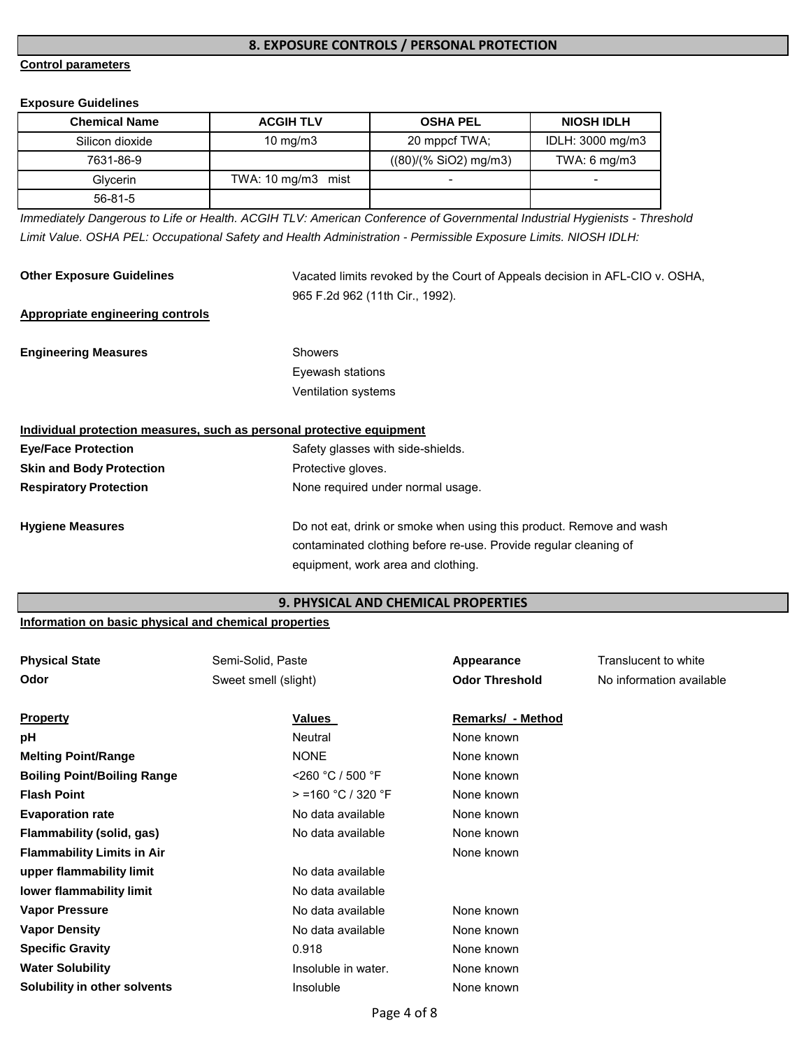# **8. EXPOSURE CONTROLS / PERSONAL PROTECTION**

# **Control parameters**

### **Exposure Guidelines**

| <b>Chemical Name</b> | <b>ACGIH TLV</b>   | <b>OSHA PEL</b>          | <b>NIOSH IDLH</b>       |
|----------------------|--------------------|--------------------------|-------------------------|
| Silicon dioxide      | $10 \text{ mg/m}$  | 20 mppcf TWA:            | IDLH: 3000 mg/m3        |
| 7631-86-9            |                    | ((80)/(% SiO2) mg/m3)    | TWA: $6 \text{ mg/m}$ 3 |
| Glycerin             | TWA: 10 mg/m3 mist | $\overline{\phantom{a}}$ | -                       |
| $56 - 81 - 5$        |                    |                          |                         |

*Immediately Dangerous to Life or Health. ACGIH TLV: American Conference of Governmental Industrial Hygienists - Threshold Limit Value. OSHA PEL: Occupational Safety and Health Administration - Permissible Exposure Limits. NIOSH IDLH:*

| <b>Other Exposure Guidelines</b>                                      | Vacated limits revoked by the Court of Appeals decision in AFL-CIO v. OSHA,<br>965 F.2d 962 (11th Cir., 1992).                          |
|-----------------------------------------------------------------------|-----------------------------------------------------------------------------------------------------------------------------------------|
| Appropriate engineering controls                                      |                                                                                                                                         |
| <b>Engineering Measures</b>                                           | <b>Showers</b>                                                                                                                          |
|                                                                       | Eyewash stations                                                                                                                        |
|                                                                       | <b>Ventilation systems</b>                                                                                                              |
| Individual protection measures, such as personal protective equipment |                                                                                                                                         |
| <b>Eye/Face Protection</b>                                            | Safety glasses with side-shields.                                                                                                       |
| <b>Skin and Body Protection</b>                                       | Protective gloves.                                                                                                                      |
| <b>Respiratory Protection</b>                                         | None required under normal usage.                                                                                                       |
| <b>Hygiene Measures</b>                                               | Do not eat, drink or smoke when using this product. Remove and wash<br>contaminated clothing before re-use. Provide regular cleaning of |

# **9. PHYSICAL AND CHEMICAL PROPERTIES**

equipment, work area and clothing.

# **Information on basic physical and chemical properties**

| <b>Physical State</b>              | Semi-Solid, Paste    | Appearance               | Translucent to white     |
|------------------------------------|----------------------|--------------------------|--------------------------|
| Odor                               | Sweet smell (slight) | <b>Odor Threshold</b>    | No information available |
|                                    |                      |                          |                          |
| <b>Property</b>                    | Values               | <b>Remarks/ - Method</b> |                          |
| рH                                 | Neutral              | None known               |                          |
| <b>Melting Point/Range</b>         | <b>NONE</b>          | None known               |                          |
| <b>Boiling Point/Boiling Range</b> | $<$ 260 °C / 500 °F  | None known               |                          |
| <b>Flash Point</b>                 | $>$ =160 °C / 320 °F | None known               |                          |
| <b>Evaporation rate</b>            | No data available    | None known               |                          |
| <b>Flammability (solid, gas)</b>   | No data available    | None known               |                          |
| <b>Flammability Limits in Air</b>  |                      | None known               |                          |
| upper flammability limit           | No data available    |                          |                          |
| lower flammability limit           | No data available    |                          |                          |
| <b>Vapor Pressure</b>              | No data available    | None known               |                          |
| <b>Vapor Density</b>               | No data available    | None known               |                          |
| <b>Specific Gravity</b>            | 0.918                | None known               |                          |
| <b>Water Solubility</b>            | Insoluble in water.  | None known               |                          |
| Solubility in other solvents       | <i>Insoluble</i>     | None known               |                          |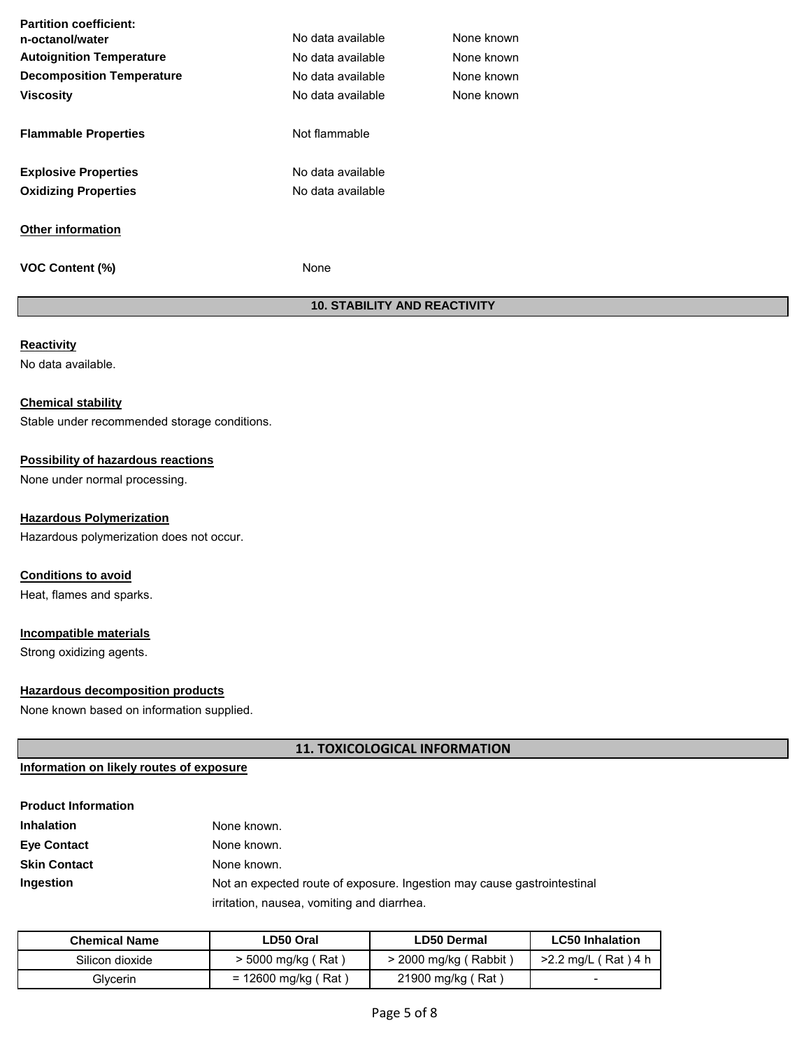| <b>Partition coefficient:</b>    |                   |            |
|----------------------------------|-------------------|------------|
| n-octanol/water                  | No data available | None known |
| <b>Autoignition Temperature</b>  | No data available | None known |
| <b>Decomposition Temperature</b> | No data available | None known |
| <b>Viscosity</b>                 | No data available | None known |
|                                  |                   |            |
| <b>Flammable Properties</b>      | Not flammable     |            |
|                                  |                   |            |
| <b>Explosive Properties</b>      | No data available |            |
| <b>Oxidizing Properties</b>      | No data available |            |
|                                  |                   |            |
| <b>Other information</b>         |                   |            |
|                                  |                   |            |
| <b>VOC Content (%)</b>           | None              |            |

# **10. STABILITY AND REACTIVITY**

# **Reactivity**

No data available.

# **Chemical stability**

Stable under recommended storage conditions.

# **Possibility of hazardous reactions**

None under normal processing.

# **Hazardous Polymerization**

Hazardous polymerization does not occur.

# **Conditions to avoid**

Heat, flames and sparks.

# **Incompatible materials**

Strong oxidizing agents.

# **Hazardous decomposition products**

None known based on information supplied.

# **11. TOXICOLOGICAL INFORMATION**

# **Information on likely routes of exposure**

| <b>Product Information</b> |                                                                         |
|----------------------------|-------------------------------------------------------------------------|
| <b>Inhalation</b>          | None known.                                                             |
| <b>Eye Contact</b>         | None known.                                                             |
| <b>Skin Contact</b>        | None known.                                                             |
| Ingestion                  | Not an expected route of exposure. Ingestion may cause gastrointestinal |
|                            | irritation, nausea, vomiting and diarrhea.                              |

| <b>Chemical Name</b> | LD50 Oral             | <b>LD50 Dermal</b>      | <b>LC50 Inhalation</b>   |
|----------------------|-----------------------|-------------------------|--------------------------|
| Silicon dioxide      | > 5000 mg/kg (Rat)    | $>$ 2000 mg/kg (Rabbit) | >2.2 mg/L (Rat) 4 h      |
| Glvcerin             | $= 12600$ mg/kg (Rat) | 21900 mg/kg (Rat)       | $\overline{\phantom{0}}$ |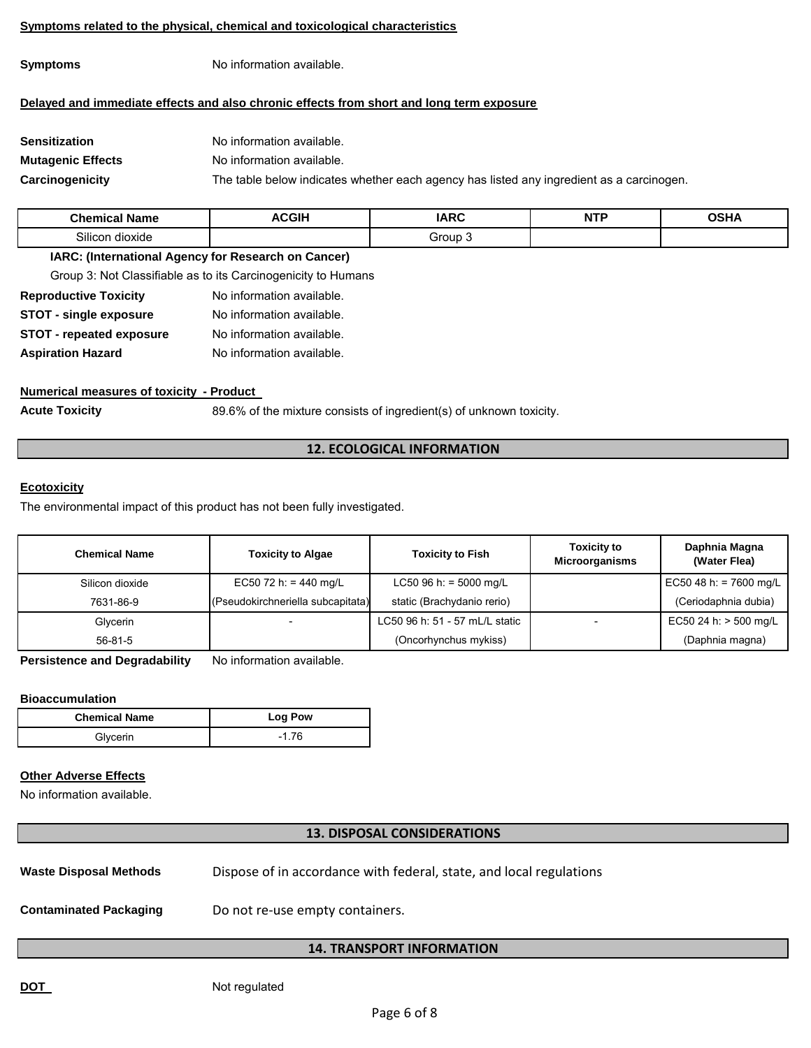#### **Symptoms related to the physical, chemical and toxicological characteristics**

**Symptoms** No information available.

# **Delayed and immediate effects and also chronic effects from short and long term exposure**

| Sensitization            | No information available.                                                                |
|--------------------------|------------------------------------------------------------------------------------------|
| <b>Mutagenic Effects</b> | No information available.                                                                |
| Carcinogenicity          | The table below indicates whether each agency has listed any ingredient as a carcinogen. |

| $^{\circ}$ hamır $^{\circ}$<br>--<br><b>Name</b> | <b>ACGIF</b><br>____ | <b>IARC</b><br>$\sim$ | $\overline{\phantom{a}}$<br>N<br>. | .<br>.<br>$  -$ |
|--------------------------------------------------|----------------------|-----------------------|------------------------------------|-----------------|
| .<br>silicor<br>dioxide                          |                      | <br>ъ.                |                                    |                 |

### **IARC: (International Agency for Research on Cancer)**

Group 3: Not Classifiable as to its Carcinogenicity to Humans

| No information available. |
|---------------------------|
| No information available. |
| No information available. |
| No information available. |
|                           |

# **Numerical measures of toxicity - Product**

**Acute Toxicity** 89.6% of the mixture consists of ingredient(s) of unknown toxicity.

# **12. ECOLOGICAL INFORMATION**

# **Ecotoxicity**

The environmental impact of this product has not been fully investigated.

| <b>Chemical Name</b> | <b>Toxicity to Algae</b>          | <b>Toxicity to Fish</b>        | <b>Toxicity to</b><br><b>Microorganisms</b> | Daphnia Magna<br>(Water Flea) |
|----------------------|-----------------------------------|--------------------------------|---------------------------------------------|-------------------------------|
| Silicon dioxide      | EC50 72 h: = 440 mg/L             | LC50 96 h: = 5000 mg/L         |                                             | EC50 48 h: = 7600 mg/L        |
| 7631-86-9            | (Pseudokirchneriella subcapitata) | static (Brachydanio rerio)     |                                             | (Ceriodaphnia dubia)          |
| Glycerin             |                                   | LC50 96 h: 51 - 57 mL/L static |                                             | EC50 24 h: > 500 mg/L         |
| $56-81-5$            |                                   | (Oncorhynchus mykiss)          |                                             | (Daphnia magna)               |

**Persistence and Degradability** No information available.

# **Bioaccumulation**

| <b>Chemical Name</b> | Log Pow |  |
|----------------------|---------|--|
| Glvcerin             | $-1.76$ |  |

# **Other Adverse Effects**

No information available.

# **13. DISPOSAL CONSIDERATIONS**

Waste Disposal Methods **Dispose of in accordance with federal**, state, and local regulations

**Contaminated Packaging** Do not re-use empty containers.

# **14. TRANSPORT INFORMATION**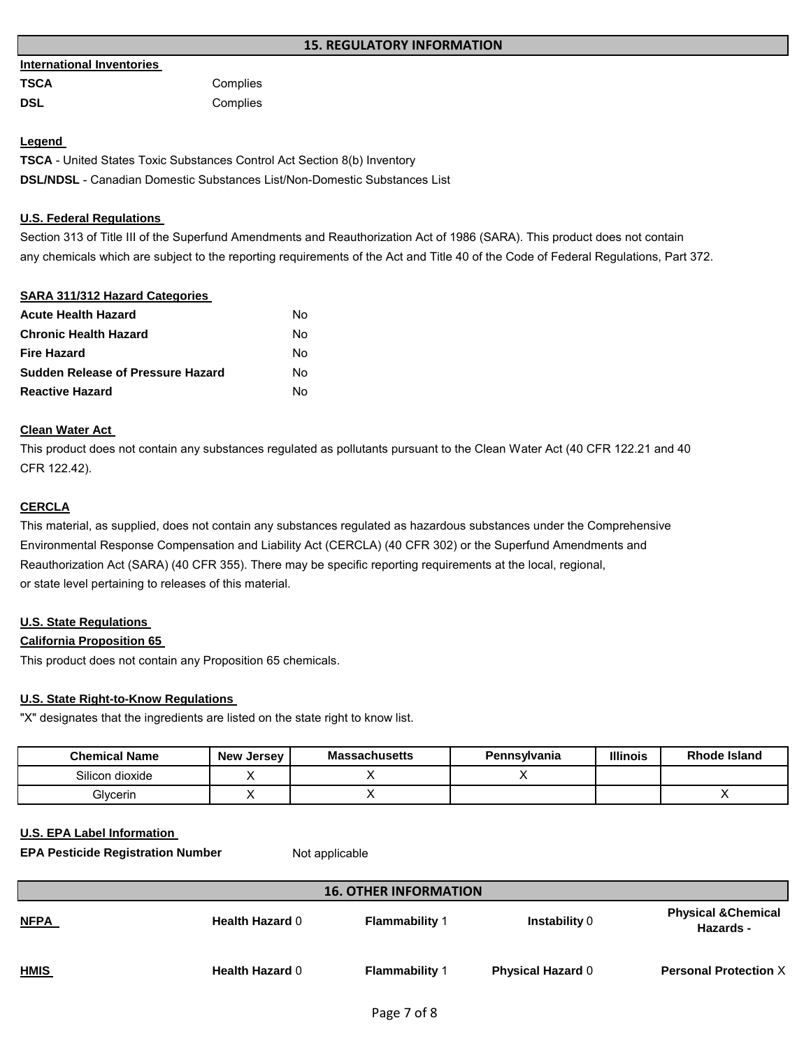#### **International Inventories**

| TSCA | Complies |
|------|----------|
| DSL  | Complies |

# **Legend**

**TSCA** - United States Toxic Substances Control Act Section 8(b) Inventory **DSL/NDSL** - Canadian Domestic Substances List/Non-Domestic Substances List

# **U.S. Federal Regulations**

Section 313 of Title III of the Superfund Amendments and Reauthorization Act of 1986 (SARA). This product does not contain any chemicals which are subject to the reporting requirements of the Act and Title 40 of the Code of Federal Regulations, Part 372.

# **SARA 311/312 Hazard Categories Acute Health Hazard** No **Chronic Health Hazard** No **Fire Hazard** No **Sudden Release of Pressure Hazard** No **Reactive Hazard** No

# **Clean Water Act**

This product does not contain any substances regulated as pollutants pursuant to the Clean Water Act (40 CFR 122.21 and 40 CFR 122.42).

# **CERCLA**

This material, as supplied, does not contain any substances regulated as hazardous substances under the Comprehensive Environmental Response Compensation and Liability Act (CERCLA) (40 CFR 302) or the Superfund Amendments and Reauthorization Act (SARA) (40 CFR 355). There may be specific reporting requirements at the local, regional, or state level pertaining to releases of this material.

# **U.S. State Regulations**

# **California Proposition 65**

This product does not contain any Proposition 65 chemicals.

# **U.S. State Right-to-Know Regulations**

"X" designates that the ingredients are listed on the state right to know list.

| <b>Chemical Name</b> | <b>New Jersey</b> | <b>Massachusetts</b> | Pennsylvania | <b>Illinois</b> | Rhode Island |
|----------------------|-------------------|----------------------|--------------|-----------------|--------------|
| Silicon dioxide      |                   |                      |              |                 |              |
| Glycerin             |                   |                      |              |                 |              |

# **U.S. EPA Label Information**

**EPA Pesticide Registration Number Mot applicable** 

| <b>16. OTHER INFORMATION</b> |                        |                       |                          |                                             |
|------------------------------|------------------------|-----------------------|--------------------------|---------------------------------------------|
| <u>NFPA</u>                  | <b>Health Hazard 0</b> | <b>Flammability 1</b> | Instability 0            | <b>Physical &amp; Chemical</b><br>Hazards - |
| <u>HMIS</u>                  | <b>Health Hazard 0</b> | <b>Flammability 1</b> | <b>Physical Hazard 0</b> | <b>Personal Protection X</b>                |